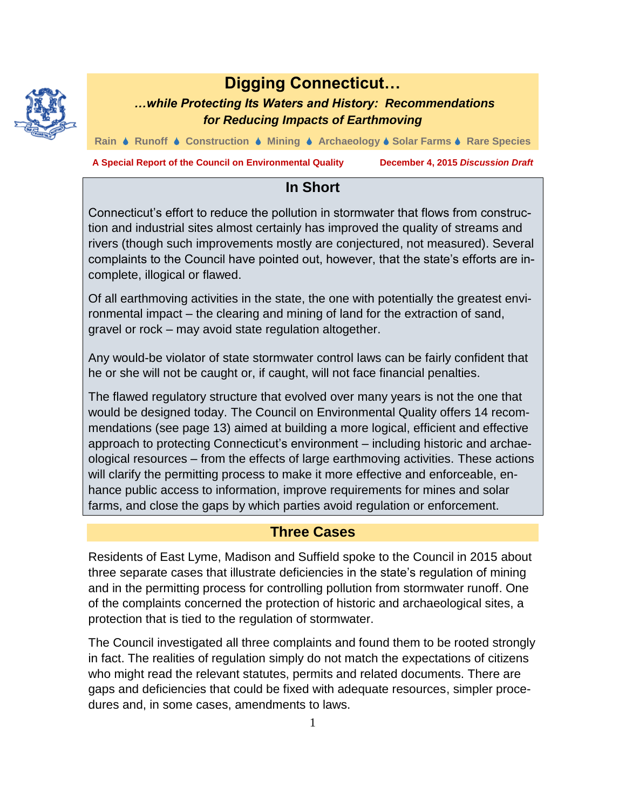

# **Digging Connecticut…**

# *…while Protecting Its Waters and History: Recommendations for Reducing Impacts of Earthmoving*

**Rain Runoff Construction Mining Archaeology Solar Farms Rare Species**

**A Special Report of the Council on Environmental Quality December 4, 2015** *Discussion Draft*

# **In Short**

Connecticut's effort to reduce the pollution in stormwater that flows from construction and industrial sites almost certainly has improved the quality of streams and rivers (though such improvements mostly are conjectured, not measured). Several complaints to the Council have pointed out, however, that the state's efforts are incomplete, illogical or flawed.

Of all earthmoving activities in the state, the one with potentially the greatest environmental impact – the clearing and mining of land for the extraction of sand, gravel or rock – may avoid state regulation altogether.

Any would-be violator of state stormwater control laws can be fairly confident that he or she will not be caught or, if caught, will not face financial penalties.

The flawed regulatory structure that evolved over many years is not the one that would be designed today. The Council on Environmental Quality offers 14 recommendations (see page 13) aimed at building a more logical, efficient and effective approach to protecting Connecticut's environment – including historic and archaeological resources – from the effects of large earthmoving activities. These actions will clarify the permitting process to make it more effective and enforceable, enhance public access to information, improve requirements for mines and solar farms, and close the gaps by which parties avoid regulation or enforcement.

# **Three Cases**

Residents of East Lyme, Madison and Suffield spoke to the Council in 2015 about three separate cases that illustrate deficiencies in the state's regulation of mining and in the permitting process for controlling pollution from stormwater runoff. One of the complaints concerned the protection of historic and archaeological sites, a protection that is tied to the regulation of stormwater.

The Council investigated all three complaints and found them to be rooted strongly in fact. The realities of regulation simply do not match the expectations of citizens who might read the relevant statutes, permits and related documents. There are gaps and deficiencies that could be fixed with adequate resources, simpler procedures and, in some cases, amendments to laws.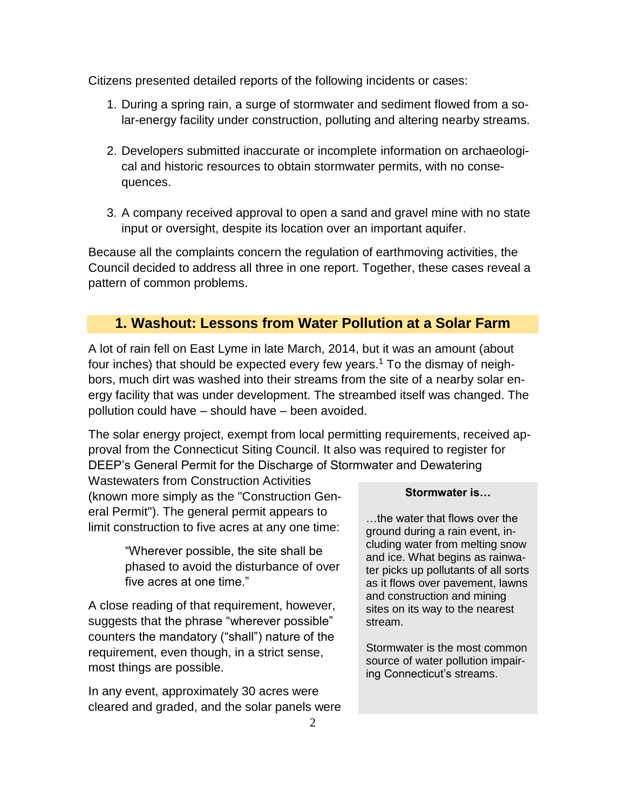Citizens presented detailed reports of the following incidents or cases:

- 1. During a spring rain, a surge of stormwater and sediment flowed from a solar-energy facility under construction, polluting and altering nearby streams.
- 2. Developers submitted inaccurate or incomplete information on archaeological and historic resources to obtain stormwater permits, with no consequences.
- 3. A company received approval to open a sand and gravel mine with no state input or oversight, despite its location over an important aquifer.

Because all the complaints concern the regulation of earthmoving activities, the Council decided to address all three in one report. Together, these cases reveal a pattern of common problems.

# **1. Washout: Lessons from Water Pollution at a Solar Farm**

A lot of rain fell on East Lyme in late March, 2014, but it was an amount (about four inches) that should be expected every few years.<sup>1</sup> To the dismay of neighbors, much dirt was washed into their streams from the site of a nearby solar energy facility that was under development. The streambed itself was changed. The pollution could have – should have – been avoided.

The solar energy project, exempt from local permitting requirements, received approval from the Connecticut Siting Council. It also was required to register for DEEP's General Permit for the Discharge of Stormwater and Dewatering

Wastewaters from Construction Activities (known more simply as the "Construction General Permit"). The general permit appears to limit construction to five acres at any one time:

> "Wherever possible, the site shall be phased to avoid the disturbance of over five acres at one time."

A close reading of that requirement, however, suggests that the phrase "wherever possible" counters the mandatory ("shall") nature of the requirement, even though, in a strict sense, most things are possible.

In any event, approximately 30 acres were cleared and graded, and the solar panels were

#### **Stormwater is…**

…the water that flows over the ground during a rain event, including water from melting snow and ice. What begins as rainwater picks up pollutants of all sorts as it flows over pavement, lawns and construction and mining sites on its way to the nearest stream.

Stormwater is the most common source of water pollution impairing Connecticut's streams.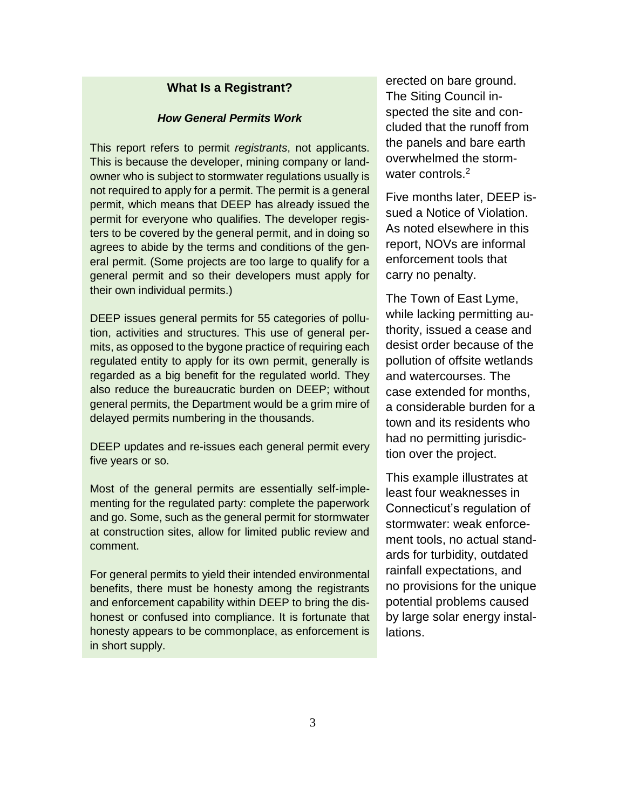#### **What Is a Registrant?**

#### *How General Permits Work*

This report refers to permit *registrants*, not applicants. This is because the developer, mining company or landowner who is subject to stormwater regulations usually is not required to apply for a permit. The permit is a general permit, which means that DEEP has already issued the permit for everyone who qualifies. The developer registers to be covered by the general permit, and in doing so agrees to abide by the terms and conditions of the general permit. (Some projects are too large to qualify for a general permit and so their developers must apply for their own individual permits.)

DEEP issues general permits for 55 categories of pollution, activities and structures. This use of general permits, as opposed to the bygone practice of requiring each regulated entity to apply for its own permit, generally is regarded as a big benefit for the regulated world. They also reduce the bureaucratic burden on DEEP; without general permits, the Department would be a grim mire of delayed permits numbering in the thousands.

DEEP updates and re-issues each general permit every five years or so.

Most of the general permits are essentially self-implementing for the regulated party: complete the paperwork and go. Some, such as the general permit for stormwater at construction sites, allow for limited public review and comment.

For general permits to yield their intended environmental benefits, there must be honesty among the registrants and enforcement capability within DEEP to bring the dishonest or confused into compliance. It is fortunate that honesty appears to be commonplace, as enforcement is in short supply.

erected on bare ground. The Siting Council inspected the site and concluded that the runoff from the panels and bare earth overwhelmed the stormwater controls.<sup>2</sup>

Five months later, DEEP issued a Notice of Violation. As noted elsewhere in this report, NOVs are informal enforcement tools that carry no penalty.

The Town of East Lyme, while lacking permitting authority, issued a cease and desist order because of the pollution of offsite wetlands and watercourses. The case extended for months, a considerable burden for a town and its residents who had no permitting jurisdiction over the project.

This example illustrates at least four weaknesses in Connecticut's regulation of stormwater: weak enforcement tools, no actual standards for turbidity, outdated rainfall expectations, and no provisions for the unique potential problems caused by large solar energy installations.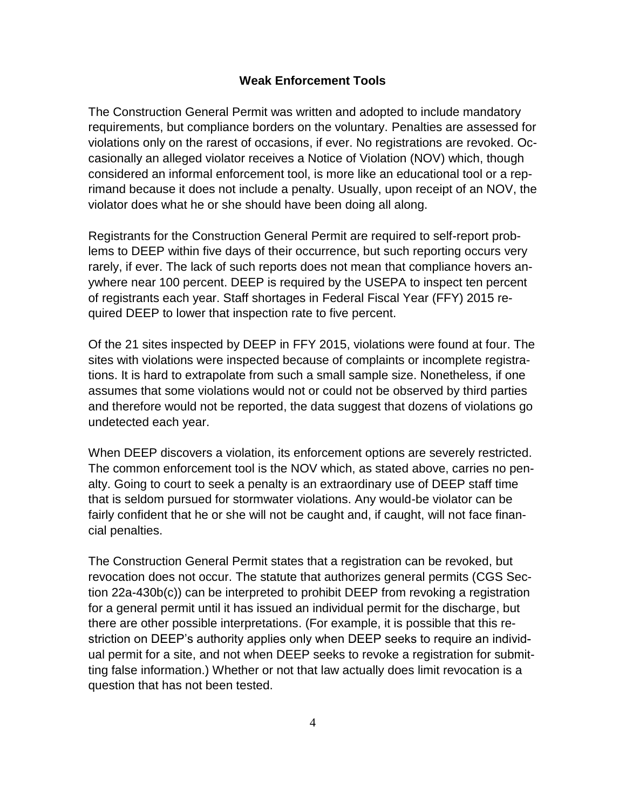#### **Weak Enforcement Tools**

The Construction General Permit was written and adopted to include mandatory requirements, but compliance borders on the voluntary. Penalties are assessed for violations only on the rarest of occasions, if ever. No registrations are revoked. Occasionally an alleged violator receives a Notice of Violation (NOV) which, though considered an informal enforcement tool, is more like an educational tool or a reprimand because it does not include a penalty. Usually, upon receipt of an NOV, the violator does what he or she should have been doing all along.

Registrants for the Construction General Permit are required to self-report problems to DEEP within five days of their occurrence, but such reporting occurs very rarely, if ever. The lack of such reports does not mean that compliance hovers anywhere near 100 percent. DEEP is required by the USEPA to inspect ten percent of registrants each year. Staff shortages in Federal Fiscal Year (FFY) 2015 required DEEP to lower that inspection rate to five percent.

Of the 21 sites inspected by DEEP in FFY 2015, violations were found at four. The sites with violations were inspected because of complaints or incomplete registrations. It is hard to extrapolate from such a small sample size. Nonetheless, if one assumes that some violations would not or could not be observed by third parties and therefore would not be reported, the data suggest that dozens of violations go undetected each year.

When DEEP discovers a violation, its enforcement options are severely restricted. The common enforcement tool is the NOV which, as stated above, carries no penalty. Going to court to seek a penalty is an extraordinary use of DEEP staff time that is seldom pursued for stormwater violations. Any would-be violator can be fairly confident that he or she will not be caught and, if caught, will not face financial penalties.

The Construction General Permit states that a registration can be revoked, but revocation does not occur. The statute that authorizes general permits (CGS Section 22a-430b(c)) can be interpreted to prohibit DEEP from revoking a registration for a general permit until it has issued an individual permit for the discharge, but there are other possible interpretations. (For example, it is possible that this restriction on DEEP's authority applies only when DEEP seeks to require an individual permit for a site, and not when DEEP seeks to revoke a registration for submitting false information.) Whether or not that law actually does limit revocation is a question that has not been tested.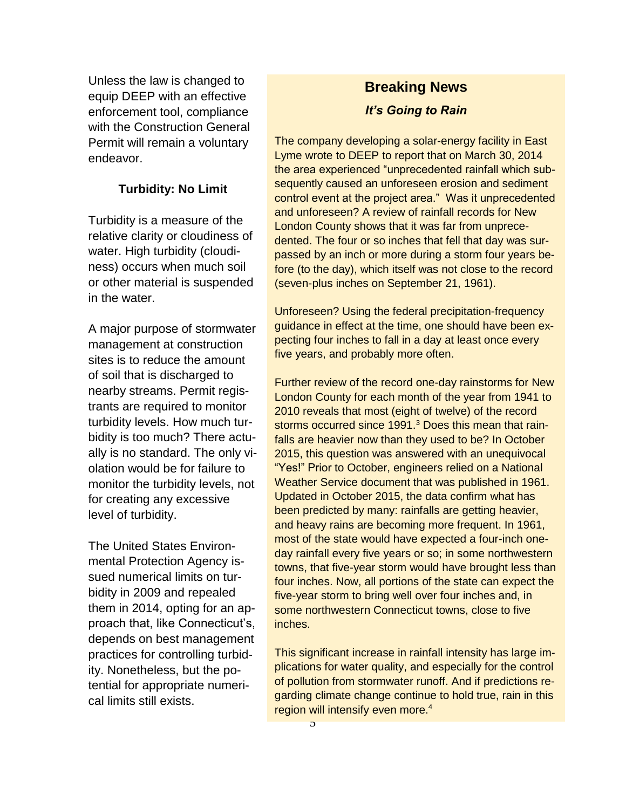Unless the law is changed to equip DEEP with an effective enforcement tool, compliance with the Construction General Permit will remain a voluntary endeavor.

### **Turbidity: No Limit**

Turbidity is a measure of the relative clarity or cloudiness of water. High turbidity (cloudiness) occurs when much soil or other material is suspended in the water.

A major purpose of stormwater management at construction sites is to reduce the amount of soil that is discharged to nearby streams. Permit registrants are required to monitor turbidity levels. How much turbidity is too much? There actually is no standard. The only violation would be for failure to monitor the turbidity levels, not for creating any excessive level of turbidity.

The United States Environmental Protection Agency issued numerical limits on turbidity in 2009 and repealed them in 2014, opting for an approach that, like Connecticut's, depends on best management practices for controlling turbidity. Nonetheless, but the potential for appropriate numerical limits still exists.

# **Breaking News** *It's Going to Rain*

The company developing a solar-energy facility in East Lyme wrote to DEEP to report that on March 30, 2014 the area experienced "unprecedented rainfall which subsequently caused an unforeseen erosion and sediment control event at the project area." Was it unprecedented and unforeseen? A review of rainfall records for New London County shows that it was far from unprecedented. The four or so inches that fell that day was surpassed by an inch or more during a storm four years before (to the day), which itself was not close to the record (seven-plus inches on September 21, 1961).

Unforeseen? Using the federal precipitation-frequency guidance in effect at the time, one should have been expecting four inches to fall in a day at least once every five years, and probably more often.

Further review of the record one-day rainstorms for New London County for each month of the year from 1941 to 2010 reveals that most (eight of twelve) of the record storms occurred since 1991.<sup>3</sup> Does this mean that rainfalls are heavier now than they used to be? In October 2015, this question was answered with an unequivocal "Yes!" Prior to October, engineers relied on a National Weather Service document that was published in 1961. Updated in October 2015, the data confirm what has been predicted by many: rainfalls are getting heavier, and heavy rains are becoming more frequent. In 1961, most of the state would have expected a four-inch oneday rainfall every five years or so; in some northwestern towns, that five-year storm would have brought less than four inches. Now, all portions of the state can expect the five-year storm to bring well over four inches and, in some northwestern Connecticut towns, close to five inches.

This significant increase in rainfall intensity has large implications for water quality, and especially for the control of pollution from stormwater runoff. And if predictions regarding climate change continue to hold true, rain in this region will intensify even more.<sup>4</sup>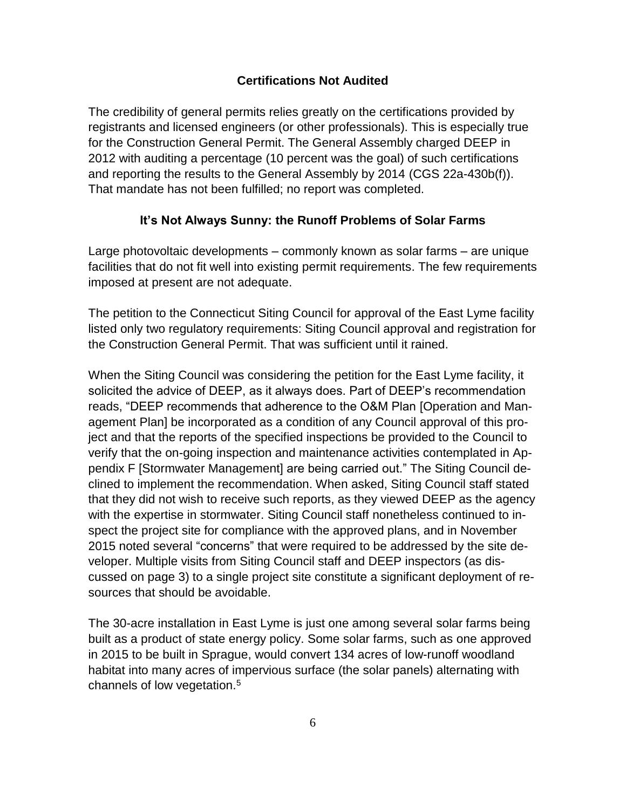### **Certifications Not Audited**

The credibility of general permits relies greatly on the certifications provided by registrants and licensed engineers (or other professionals). This is especially true for the Construction General Permit. The General Assembly charged DEEP in 2012 with auditing a percentage (10 percent was the goal) of such certifications and reporting the results to the General Assembly by 2014 (CGS 22a-430b(f)). That mandate has not been fulfilled; no report was completed.

#### **It's Not Always Sunny: the Runoff Problems of Solar Farms**

Large photovoltaic developments – commonly known as solar farms – are unique facilities that do not fit well into existing permit requirements. The few requirements imposed at present are not adequate.

The petition to the Connecticut Siting Council for approval of the East Lyme facility listed only two regulatory requirements: Siting Council approval and registration for the Construction General Permit. That was sufficient until it rained.

When the Siting Council was considering the petition for the East Lyme facility, it solicited the advice of DEEP, as it always does. Part of DEEP's recommendation reads, "DEEP recommends that adherence to the O&M Plan [Operation and Management Plan] be incorporated as a condition of any Council approval of this project and that the reports of the specified inspections be provided to the Council to verify that the on-going inspection and maintenance activities contemplated in Appendix F [Stormwater Management] are being carried out." The Siting Council declined to implement the recommendation. When asked, Siting Council staff stated that they did not wish to receive such reports, as they viewed DEEP as the agency with the expertise in stormwater. Siting Council staff nonetheless continued to inspect the project site for compliance with the approved plans, and in November 2015 noted several "concerns" that were required to be addressed by the site developer. Multiple visits from Siting Council staff and DEEP inspectors (as discussed on page 3) to a single project site constitute a significant deployment of resources that should be avoidable.

The 30-acre installation in East Lyme is just one among several solar farms being built as a product of state energy policy. Some solar farms, such as one approved in 2015 to be built in Sprague, would convert 134 acres of low-runoff woodland habitat into many acres of impervious surface (the solar panels) alternating with channels of low vegetation.5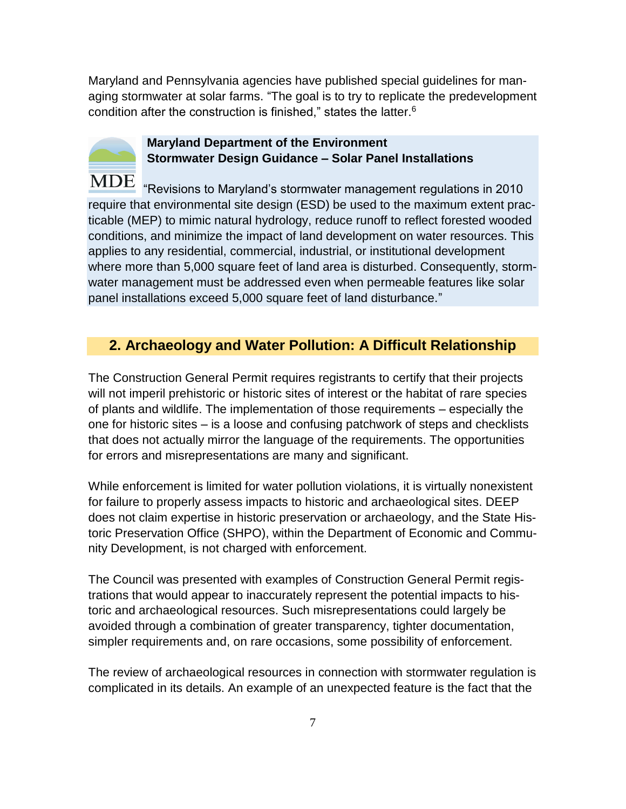Maryland and Pennsylvania agencies have published special guidelines for managing stormwater at solar farms. "The goal is to try to replicate the predevelopment condition after the construction is finished," states the latter. $6$ 



# **Maryland Department of the Environment Stormwater Design Guidance – Solar Panel Installations**

MDE "Revisions to Maryland's stormwater management regulations in 2010 require that environmental site design (ESD) be used to the maximum extent practicable (MEP) to mimic natural hydrology, reduce runoff to reflect forested wooded conditions, and minimize the impact of land development on water resources. This applies to any residential, commercial, industrial, or institutional development where more than 5,000 square feet of land area is disturbed. Consequently, stormwater management must be addressed even when permeable features like solar panel installations exceed 5,000 square feet of land disturbance."

# **2. Archaeology and Water Pollution: A Difficult Relationship**

The Construction General Permit requires registrants to certify that their projects will not imperil prehistoric or historic sites of interest or the habitat of rare species of plants and wildlife. The implementation of those requirements – especially the one for historic sites – is a loose and confusing patchwork of steps and checklists that does not actually mirror the language of the requirements. The opportunities for errors and misrepresentations are many and significant.

While enforcement is limited for water pollution violations, it is virtually nonexistent for failure to properly assess impacts to historic and archaeological sites. DEEP does not claim expertise in historic preservation or archaeology, and the State Historic Preservation Office (SHPO), within the Department of Economic and Community Development, is not charged with enforcement.

The Council was presented with examples of Construction General Permit registrations that would appear to inaccurately represent the potential impacts to historic and archaeological resources. Such misrepresentations could largely be avoided through a combination of greater transparency, tighter documentation, simpler requirements and, on rare occasions, some possibility of enforcement.

The review of archaeological resources in connection with stormwater regulation is complicated in its details. An example of an unexpected feature is the fact that the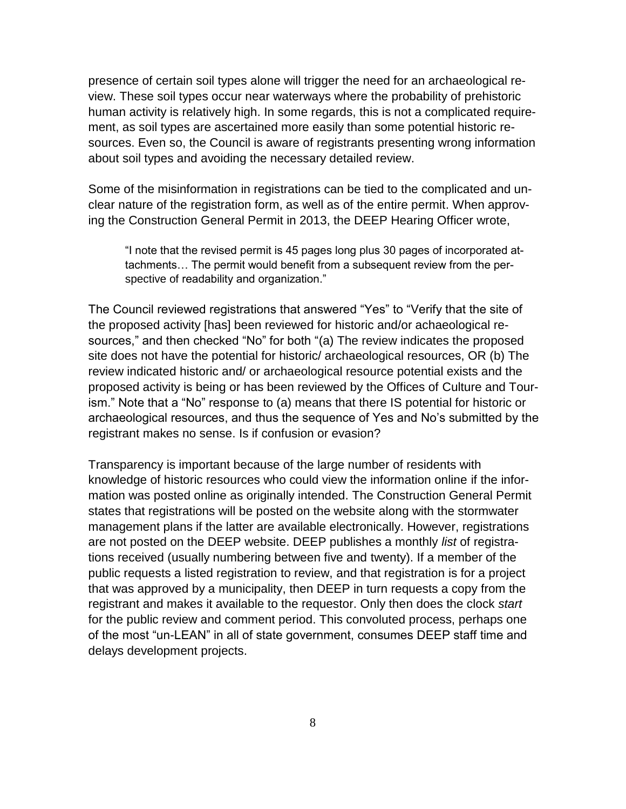presence of certain soil types alone will trigger the need for an archaeological review. These soil types occur near waterways where the probability of prehistoric human activity is relatively high. In some regards, this is not a complicated requirement, as soil types are ascertained more easily than some potential historic resources. Even so, the Council is aware of registrants presenting wrong information about soil types and avoiding the necessary detailed review.

Some of the misinformation in registrations can be tied to the complicated and unclear nature of the registration form, as well as of the entire permit. When approving the Construction General Permit in 2013, the DEEP Hearing Officer wrote,

"I note that the revised permit is 45 pages long plus 30 pages of incorporated attachments… The permit would benefit from a subsequent review from the perspective of readability and organization."

The Council reviewed registrations that answered "Yes" to "Verify that the site of the proposed activity [has] been reviewed for historic and/or achaeological resources," and then checked "No" for both "(a) The review indicates the proposed site does not have the potential for historic/ archaeological resources, OR (b) The review indicated historic and/ or archaeological resource potential exists and the proposed activity is being or has been reviewed by the Offices of Culture and Tourism." Note that a "No" response to (a) means that there IS potential for historic or archaeological resources, and thus the sequence of Yes and No's submitted by the registrant makes no sense. Is if confusion or evasion?

Transparency is important because of the large number of residents with knowledge of historic resources who could view the information online if the information was posted online as originally intended. The Construction General Permit states that registrations will be posted on the website along with the stormwater management plans if the latter are available electronically. However, registrations are not posted on the DEEP website. DEEP publishes a monthly *list* of registrations received (usually numbering between five and twenty). If a member of the public requests a listed registration to review, and that registration is for a project that was approved by a municipality, then DEEP in turn requests a copy from the registrant and makes it available to the requestor. Only then does the clock *start*  for the public review and comment period. This convoluted process, perhaps one of the most "un-LEAN" in all of state government, consumes DEEP staff time and delays development projects.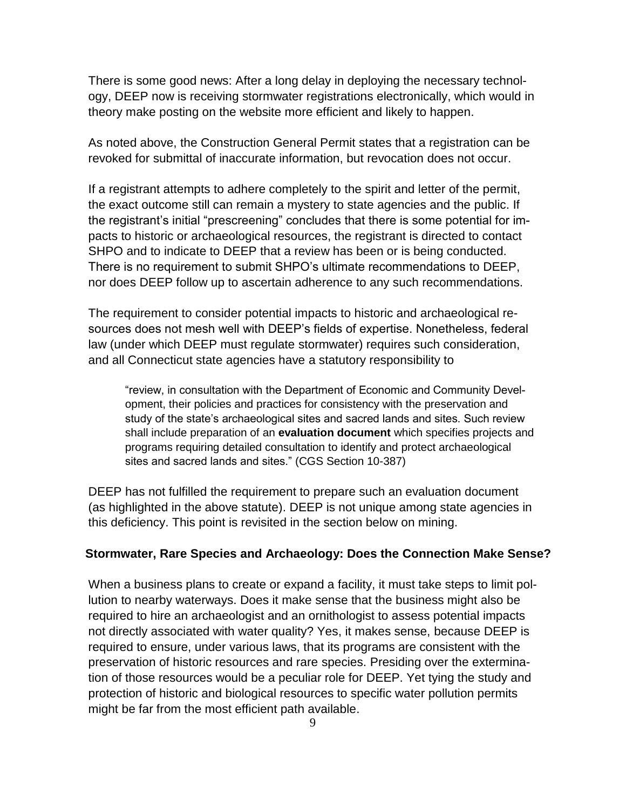There is some good news: After a long delay in deploying the necessary technology, DEEP now is receiving stormwater registrations electronically, which would in theory make posting on the website more efficient and likely to happen.

As noted above, the Construction General Permit states that a registration can be revoked for submittal of inaccurate information, but revocation does not occur.

If a registrant attempts to adhere completely to the spirit and letter of the permit, the exact outcome still can remain a mystery to state agencies and the public. If the registrant's initial "prescreening" concludes that there is some potential for impacts to historic or archaeological resources, the registrant is directed to contact SHPO and to indicate to DEEP that a review has been or is being conducted. There is no requirement to submit SHPO's ultimate recommendations to DEEP, nor does DEEP follow up to ascertain adherence to any such recommendations.

The requirement to consider potential impacts to historic and archaeological resources does not mesh well with DEEP's fields of expertise. Nonetheless, federal law (under which DEEP must regulate stormwater) requires such consideration, and all Connecticut state agencies have a statutory responsibility to

"review, in consultation with the Department of Economic and Community Development, their policies and practices for consistency with the preservation and study of the state's archaeological sites and sacred lands and sites. Such review shall include preparation of an **evaluation document** which specifies projects and programs requiring detailed consultation to identify and protect archaeological sites and sacred lands and sites." (CGS Section 10-387)

DEEP has not fulfilled the requirement to prepare such an evaluation document (as highlighted in the above statute). DEEP is not unique among state agencies in this deficiency. This point is revisited in the section below on mining.

#### **Stormwater, Rare Species and Archaeology: Does the Connection Make Sense?**

When a business plans to create or expand a facility, it must take steps to limit pollution to nearby waterways. Does it make sense that the business might also be required to hire an archaeologist and an ornithologist to assess potential impacts not directly associated with water quality? Yes, it makes sense, because DEEP is required to ensure, under various laws, that its programs are consistent with the preservation of historic resources and rare species. Presiding over the extermination of those resources would be a peculiar role for DEEP. Yet tying the study and protection of historic and biological resources to specific water pollution permits might be far from the most efficient path available.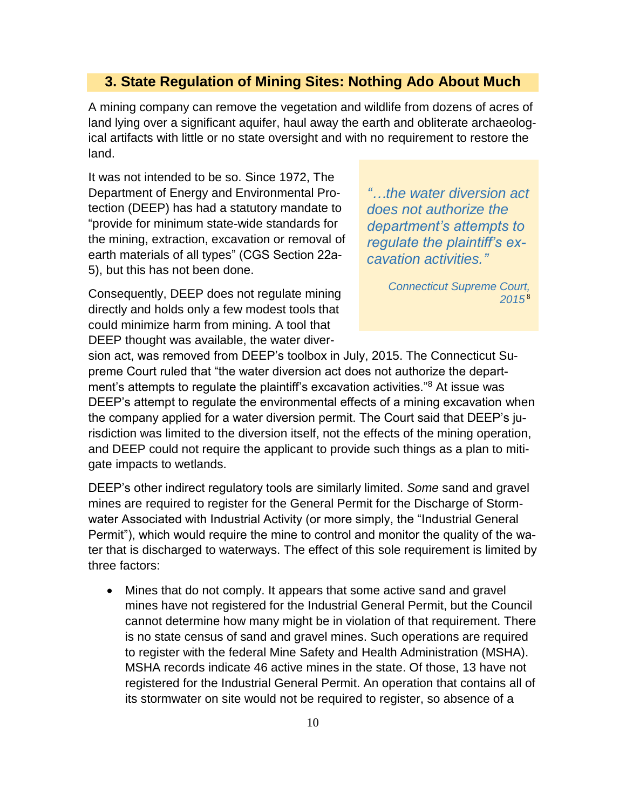#### **3. State Regulation of Mining Sites: Nothing Ado About Much**

A mining company can remove the vegetation and wildlife from dozens of acres of land lying over a significant aquifer, haul away the earth and obliterate archaeological artifacts with little or no state oversight and with no requirement to restore the land.

It was not intended to be so. Since 1972, The Department of Energy and Environmental Protection (DEEP) has had a statutory mandate to "provide for minimum state-wide standards for the mining, extraction, excavation or removal of earth materials of all types" (CGS Section 22a-5), but this has not been done.

*"…the water diversion act does not authorize the department's attempts to regulate the plaintiff's excavation activities."*

*Connecticut Supreme Court, 2015* <sup>8</sup>

Consequently, DEEP does not regulate mining directly and holds only a few modest tools that could minimize harm from mining. A tool that DEEP thought was available, the water diver-

sion act, was removed from DEEP's toolbox in July, 2015. The Connecticut Supreme Court ruled that "the water diversion act does not authorize the department's attempts to regulate the plaintiff's excavation activities."<sup>8</sup> At issue was DEEP's attempt to regulate the environmental effects of a mining excavation when the company applied for a water diversion permit. The Court said that DEEP's jurisdiction was limited to the diversion itself, not the effects of the mining operation, and DEEP could not require the applicant to provide such things as a plan to mitigate impacts to wetlands.

DEEP's other indirect regulatory tools are similarly limited. *Some* sand and gravel mines are required to register for the General Permit for the Discharge of Stormwater Associated with Industrial Activity (or more simply, the "Industrial General Permit"), which would require the mine to control and monitor the quality of the water that is discharged to waterways. The effect of this sole requirement is limited by three factors:

 Mines that do not comply. It appears that some active sand and gravel mines have not registered for the Industrial General Permit, but the Council cannot determine how many might be in violation of that requirement. There is no state census of sand and gravel mines. Such operations are required to register with the federal Mine Safety and Health Administration (MSHA). MSHA records indicate 46 active mines in the state. Of those, 13 have not registered for the Industrial General Permit. An operation that contains all of its stormwater on site would not be required to register, so absence of a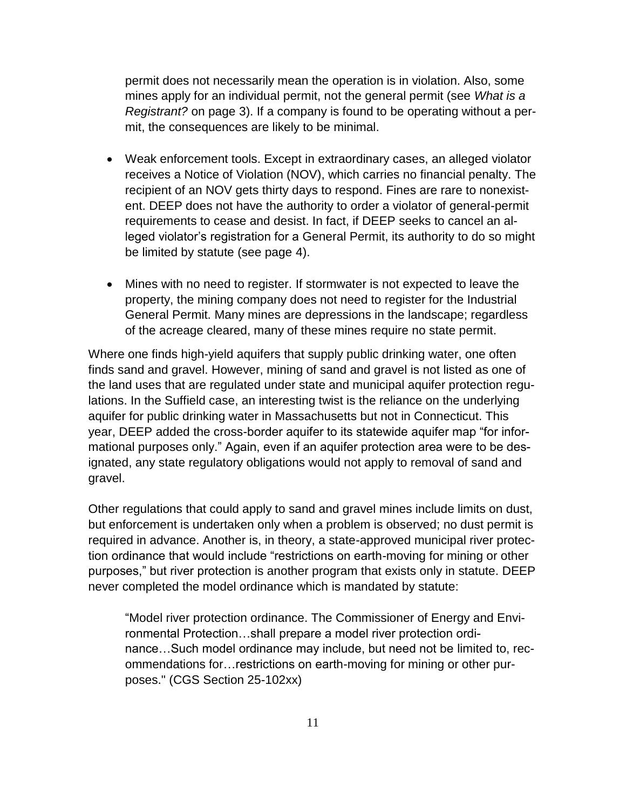permit does not necessarily mean the operation is in violation. Also, some mines apply for an individual permit, not the general permit (see *What is a Registrant?* on page 3). If a company is found to be operating without a permit, the consequences are likely to be minimal.

- Weak enforcement tools. Except in extraordinary cases, an alleged violator receives a Notice of Violation (NOV), which carries no financial penalty. The recipient of an NOV gets thirty days to respond. Fines are rare to nonexistent. DEEP does not have the authority to order a violator of general-permit requirements to cease and desist. In fact, if DEEP seeks to cancel an alleged violator's registration for a General Permit, its authority to do so might be limited by statute (see page 4).
- Mines with no need to register. If stormwater is not expected to leave the property, the mining company does not need to register for the Industrial General Permit. Many mines are depressions in the landscape; regardless of the acreage cleared, many of these mines require no state permit.

Where one finds high-yield aquifers that supply public drinking water, one often finds sand and gravel. However, mining of sand and gravel is not listed as one of the land uses that are regulated under state and municipal aquifer protection regulations. In the Suffield case, an interesting twist is the reliance on the underlying aquifer for public drinking water in Massachusetts but not in Connecticut. This year, DEEP added the cross-border aquifer to its statewide aquifer map "for informational purposes only." Again, even if an aquifer protection area were to be designated, any state regulatory obligations would not apply to removal of sand and gravel.

Other regulations that could apply to sand and gravel mines include limits on dust, but enforcement is undertaken only when a problem is observed; no dust permit is required in advance. Another is, in theory, a state-approved municipal river protection ordinance that would include "restrictions on earth-moving for mining or other purposes," but river protection is another program that exists only in statute. DEEP never completed the model ordinance which is mandated by statute:

"Model river protection ordinance. The Commissioner of Energy and Environmental Protection…shall prepare a model river protection ordinance…Such model ordinance may include, but need not be limited to, recommendations for…restrictions on earth-moving for mining or other purposes." (CGS Section 25-102xx)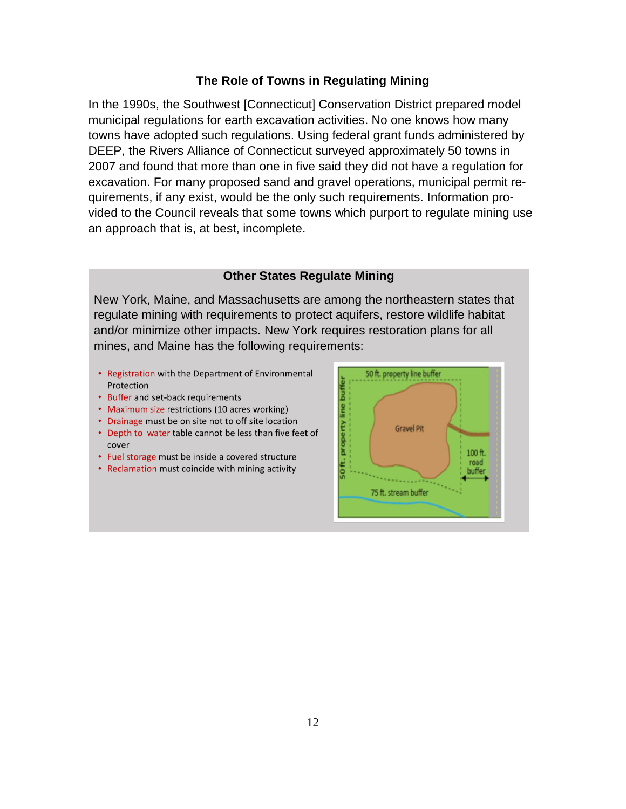#### **The Role of Towns in Regulating Mining**

In the 1990s, the Southwest [Connecticut] Conservation District prepared model municipal regulations for earth excavation activities. No one knows how many towns have adopted such regulations. Using federal grant funds administered by DEEP, the Rivers Alliance of Connecticut surveyed approximately 50 towns in 2007 and found that more than one in five said they did not have a regulation for excavation. For many proposed sand and gravel operations, municipal permit requirements, if any exist, would be the only such requirements. Information provided to the Council reveals that some towns which purport to regulate mining use an approach that is, at best, incomplete.

#### **Other States Regulate Mining**

New York, Maine, and Massachusetts are among the northeastern states that regulate mining with requirements to protect aquifers, restore wildlife habitat and/or minimize other impacts. New York requires restoration plans for all mines, and Maine has the following requirements:

- Registration with the Department of Environmental Protection
- Buffer and set-back requirements
- Maximum size restrictions (10 acres working)
- Drainage must be on site not to off site location
- Depth to water table cannot be less than five feet of cover
- Fuel storage must be inside a covered structure
- Reclamation must coincide with mining activity

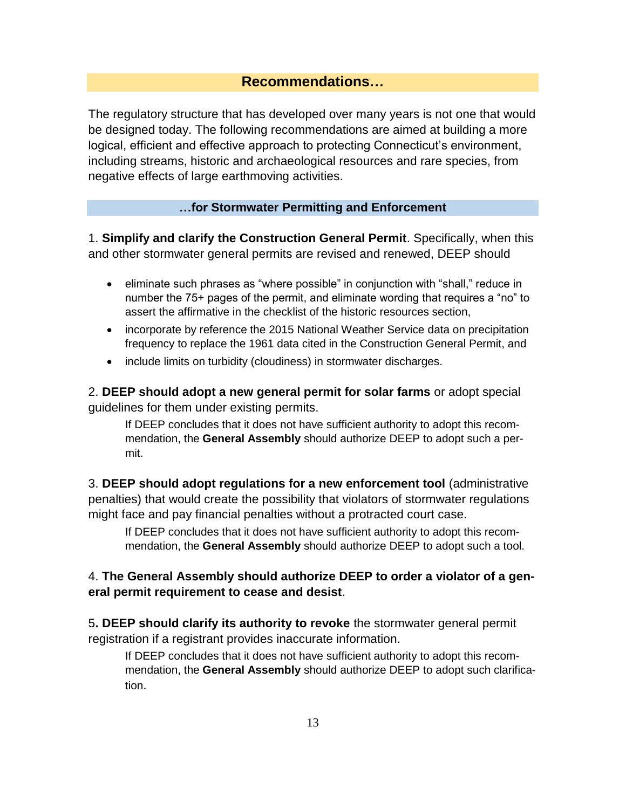# **Recommendations…**

The regulatory structure that has developed over many years is not one that would be designed today. The following recommendations are aimed at building a more logical, efficient and effective approach to protecting Connecticut's environment, including streams, historic and archaeological resources and rare species, from negative effects of large earthmoving activities.

### **…for Stormwater Permitting and Enforcement**

1. **Simplify and clarify the Construction General Permit**. Specifically, when this and other stormwater general permits are revised and renewed, DEEP should

- eliminate such phrases as "where possible" in conjunction with "shall," reduce in number the 75+ pages of the permit, and eliminate wording that requires a "no" to assert the affirmative in the checklist of the historic resources section,
- incorporate by reference the 2015 National Weather Service data on precipitation frequency to replace the 1961 data cited in the Construction General Permit, and
- include limits on turbidity (cloudiness) in stormwater discharges.

2. **DEEP should adopt a new general permit for solar farms** or adopt special guidelines for them under existing permits.

If DEEP concludes that it does not have sufficient authority to adopt this recommendation, the **General Assembly** should authorize DEEP to adopt such a permit.

3. **DEEP should adopt regulations for a new enforcement tool** (administrative penalties) that would create the possibility that violators of stormwater regulations might face and pay financial penalties without a protracted court case.

If DEEP concludes that it does not have sufficient authority to adopt this recommendation, the **General Assembly** should authorize DEEP to adopt such a tool.

# 4. **The General Assembly should authorize DEEP to order a violator of a general permit requirement to cease and desist**.

5**. DEEP should clarify its authority to revoke** the stormwater general permit registration if a registrant provides inaccurate information.

If DEEP concludes that it does not have sufficient authority to adopt this recommendation, the **General Assembly** should authorize DEEP to adopt such clarification.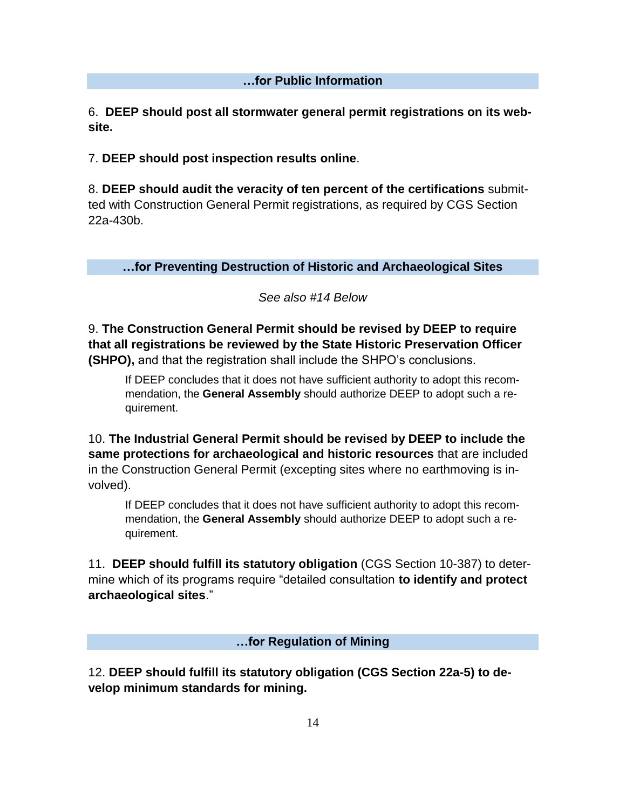# **…for Public Information**

6. **DEEP should post all stormwater general permit registrations on its website.**

7. **DEEP should post inspection results online**.

8. **DEEP should audit the veracity of ten percent of the certifications** submitted with Construction General Permit registrations, as required by CGS Section 22a-430b.

**…for Preventing Destruction of Historic and Archaeological Sites**

# *See also #14 Below*

9. **The Construction General Permit should be revised by DEEP to require that all registrations be reviewed by the State Historic Preservation Officer (SHPO),** and that the registration shall include the SHPO's conclusions.

If DEEP concludes that it does not have sufficient authority to adopt this recommendation, the **General Assembly** should authorize DEEP to adopt such a requirement.

10. **The Industrial General Permit should be revised by DEEP to include the same protections for archaeological and historic resources** that are included in the Construction General Permit (excepting sites where no earthmoving is involved).

If DEEP concludes that it does not have sufficient authority to adopt this recommendation, the **General Assembly** should authorize DEEP to adopt such a requirement.

11. **DEEP should fulfill its statutory obligation** (CGS Section 10-387) to determine which of its programs require "detailed consultation **to identify and protect archaeological sites**."

**…for Regulation of Mining**

12. **DEEP should fulfill its statutory obligation (CGS Section 22a-5) to develop minimum standards for mining.**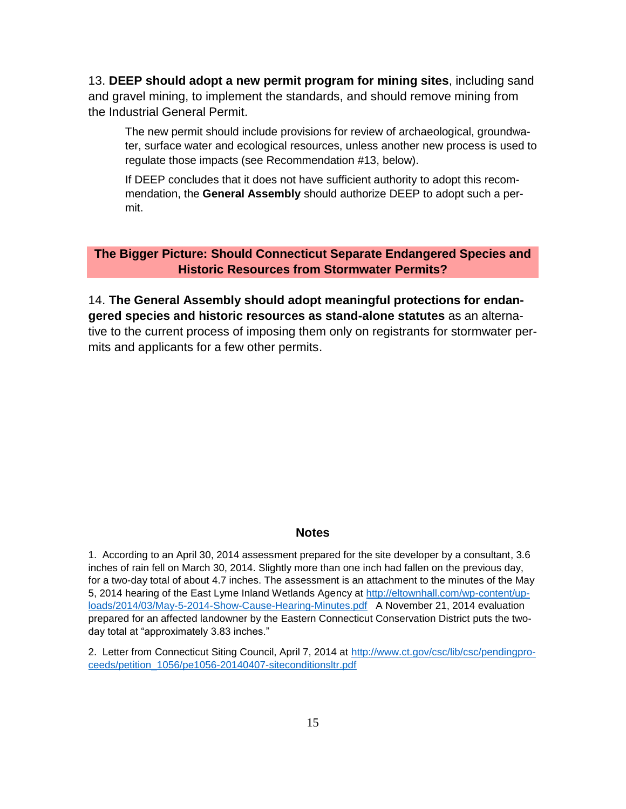13. **DEEP should adopt a new permit program for mining sites**, including sand and gravel mining, to implement the standards, and should remove mining from the Industrial General Permit.

The new permit should include provisions for review of archaeological, groundwater, surface water and ecological resources, unless another new process is used to regulate those impacts (see Recommendation #13, below).

If DEEP concludes that it does not have sufficient authority to adopt this recommendation, the **General Assembly** should authorize DEEP to adopt such a permit.

### **The Bigger Picture: Should Connecticut Separate Endangered Species and Historic Resources from Stormwater Permits?**

14. **The General Assembly should adopt meaningful protections for endangered species and historic resources as stand-alone statutes** as an alternative to the current process of imposing them only on registrants for stormwater permits and applicants for a few other permits.

#### **Notes**

1. According to an April 30, 2014 assessment prepared for the site developer by a consultant, 3.6 inches of rain fell on March 30, 2014. Slightly more than one inch had fallen on the previous day, for a two-day total of about 4.7 inches. The assessment is an attachment to the minutes of the May 5, 2014 hearing of the East Lyme Inland Wetlands Agency at [http://eltownhall.com/wp-content/up](http://eltownhall.com/wp-content/uploads/2014/03/May-5-2014-Show-Cause-Hearing-Minutes.pdf)[loads/2014/03/May-5-2014-Show-Cause-Hearing-Minutes.pdf](http://eltownhall.com/wp-content/uploads/2014/03/May-5-2014-Show-Cause-Hearing-Minutes.pdf) A November 21, 2014 evaluation prepared for an affected landowner by the Eastern Connecticut Conservation District puts the twoday total at "approximately 3.83 inches."

2. Letter from Connecticut Siting Council, April 7, 2014 at [http://www.ct.gov/csc/lib/csc/pendingpro](http://www.ct.gov/csc/lib/csc/pendingproceeds/petition_1056/pe1056-20140407-siteconditionsltr.pdf)[ceeds/petition\\_1056/pe1056-20140407-siteconditionsltr.pdf](http://www.ct.gov/csc/lib/csc/pendingproceeds/petition_1056/pe1056-20140407-siteconditionsltr.pdf)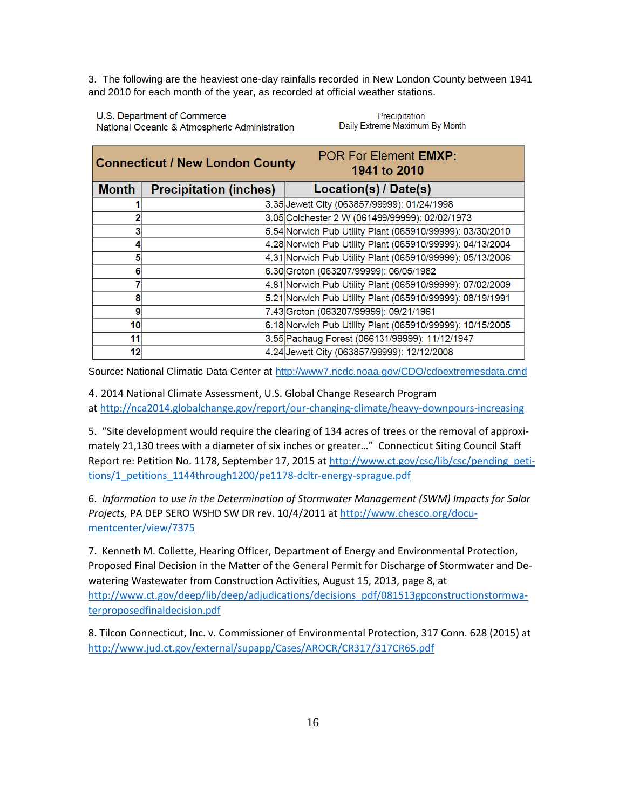3. The following are the heaviest one-day rainfalls recorded in New London County between 1941 and 2010 for each month of the year, as recorded at official weather stations.

U.S. Department of Commerce National Oceanic & Atmospheric Administration

Precipitation Daily Extreme Maximum By Month

| <b>POR For Element EMXP:</b><br><b>Connecticut / New London County</b><br>1941 to 2010 |                               |                                                           |
|----------------------------------------------------------------------------------------|-------------------------------|-----------------------------------------------------------|
| <b>Month</b>                                                                           | <b>Precipitation (inches)</b> | Location(s) / Date(s)                                     |
|                                                                                        |                               | 3.35 Jewett City (063857/99999): 01/24/1998               |
| 2                                                                                      |                               | 3.05 Colchester 2 W (061499/99999): 02/02/1973            |
|                                                                                        |                               | 5.54 Norwich Pub Utility Plant (065910/99999): 03/30/2010 |
| 4                                                                                      |                               | 4.28 Norwich Pub Utility Plant (065910/99999): 04/13/2004 |
| 5                                                                                      |                               | 4.31 Norwich Pub Utility Plant (065910/99999): 05/13/2006 |
| 6                                                                                      |                               | 6.30 Groton (063207/99999): 06/05/1982                    |
|                                                                                        |                               | 4.81 Norwich Pub Utility Plant (065910/99999): 07/02/2009 |
| 8                                                                                      |                               | 5.21 Norwich Pub Utility Plant (065910/99999): 08/19/1991 |
| 9                                                                                      |                               | 7.43 Groton (063207/99999): 09/21/1961                    |
| 10 <sup>1</sup>                                                                        |                               | 6.18 Norwich Pub Utility Plant (065910/99999): 10/15/2005 |
| 11                                                                                     |                               | 3.55 Pachaug Forest (066131/99999): 11/12/1947            |
| 12                                                                                     |                               | 4.24 Jewett City (063857/99999): 12/12/2008               |

Source: National Climatic Data Center at <http://www7.ncdc.noaa.gov/CDO/cdoextremesdata.cmd>

4. 2014 National Climate Assessment, U.S. Global Change Research Program at<http://nca2014.globalchange.gov/report/our-changing-climate/heavy-downpours-increasing>

5. "Site development would require the clearing of 134 acres of trees or the removal of approximately 21,130 trees with a diameter of six inches or greater…" Connecticut Siting Council Staff Report re: Petition No. 1178, September 17, 2015 at [http://www.ct.gov/csc/lib/csc/pending\\_peti](http://www.ct.gov/csc/lib/csc/pending_petitions/1_petitions_1144through1200/pe1178-dcltr-energy-sprague.pdf)[tions/1\\_petitions\\_1144through1200/pe1178-dcltr-energy-sprague.pdf](http://www.ct.gov/csc/lib/csc/pending_petitions/1_petitions_1144through1200/pe1178-dcltr-energy-sprague.pdf)

6. *Information to use in the Determination of Stormwater Management (SWM) Impacts for Solar Projects,* PA DEP SERO WSHD SW DR rev. 10/4/2011 a[t http://www.chesco.org/docu](http://www.chesco.org/documentcenter/view/7375)[mentcenter/view/7375](http://www.chesco.org/documentcenter/view/7375)

7. Kenneth M. Collette, Hearing Officer, Department of Energy and Environmental Protection, Proposed Final Decision in the Matter of the General Permit for Discharge of Stormwater and Dewatering Wastewater from Construction Activities, August 15, 2013, page 8, at [http://www.ct.gov/deep/lib/deep/adjudications/decisions\\_pdf/081513gpconstructionstormwa](http://www.ct.gov/deep/lib/deep/adjudications/decisions_pdf/081513gpconstructionstormwaterproposedfinaldecision.pdf)[terproposedfinaldecision.pdf](http://www.ct.gov/deep/lib/deep/adjudications/decisions_pdf/081513gpconstructionstormwaterproposedfinaldecision.pdf)

8. Tilcon Connecticut, Inc. v. Commissioner of Environmental Protection, 317 Conn. 628 (2015) at <http://www.jud.ct.gov/external/supapp/Cases/AROCR/CR317/317CR65.pdf>